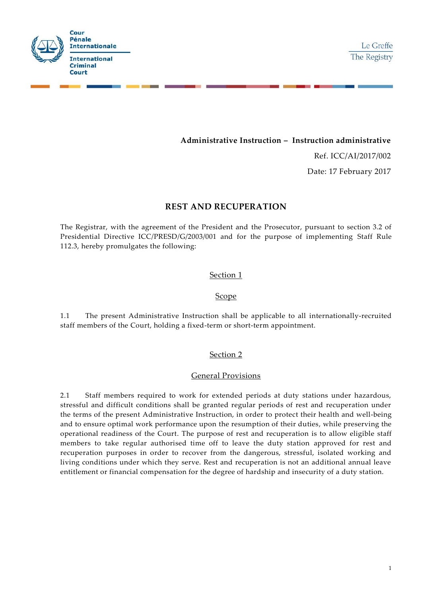

# **Administrative Instruction – Instruction administrative**

Ref. ICC/AI/2017/002

Date: 17 February 2017

# **REST AND RECUPERATION**

The Registrar, with the agreement of the President and the Prosecutor, pursuant to section 3.2 of Presidential Directive ICC/PRESD/G/2003/001 and for the purpose of implementing Staff Rule 112.3, hereby promulgates the following:

#### Section 1

#### Scope

1.1 The present Administrative Instruction shall be applicable to all internationally-recruited staff members of the Court, holding a fixed-term or short-term appointment.

# Section 2

#### General Provisions

2.1 Staff members required to work for extended periods at duty stations under hazardous, stressful and difficult conditions shall be granted regular periods of rest and recuperation under the terms of the present Administrative Instruction, in order to protect their health and well-being and to ensure optimal work performance upon the resumption of their duties, while preserving the operational readiness of the Court. The purpose of rest and recuperation is to allow eligible staff members to take regular authorised time off to leave the duty station approved for rest and recuperation purposes in order to recover from the dangerous, stressful, isolated working and living conditions under which they serve. Rest and recuperation is not an additional annual leave entitlement or financial compensation for the degree of hardship and insecurity of a duty station.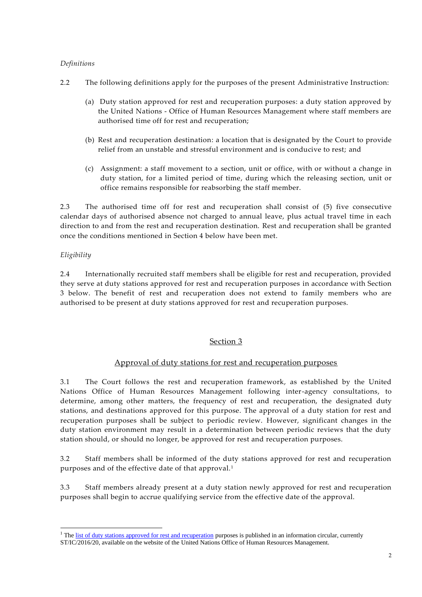# *Definitions*

- 2.2 The following definitions apply for the purposes of the present Administrative Instruction:
	- (a) Duty station approved for rest and recuperation purposes: a duty station approved by the United Nations - Office of Human Resources Management where staff members are authorised time off for rest and recuperation;
	- (b) Rest and recuperation destination: a location that is designated by the Court to provide relief from an unstable and stressful environment and is conducive to rest; and
	- (c) Assignment: a staff movement to a section, unit or office, with or without a change in duty station, for a limited period of time, during which the releasing section, unit or office remains responsible for reabsorbing the staff member.

2.3 The authorised time off for rest and recuperation shall consist of (5) five consecutive calendar days of authorised absence not charged to annual leave, plus actual travel time in each direction to and from the rest and recuperation destination. Rest and recuperation shall be granted once the conditions mentioned in Section 4 below have been met.

# *Eligibility*

-

2.4 Internationally recruited staff members shall be eligible for rest and recuperation, provided they serve at duty stations approved for rest and recuperation purposes in accordance with Section 3 below. The benefit of rest and recuperation does not extend to family members who are authorised to be present at duty stations approved for rest and recuperation purposes.

# Section 3

# Approval of duty stations for rest and recuperation purposes

3.1 The Court follows the rest and recuperation framework, as established by the United Nations Office of Human Resources Management following inter-agency consultations, to determine, among other matters, the frequency of rest and recuperation, the designated duty stations, and destinations approved for this purpose. The approval of a duty station for rest and recuperation purposes shall be subject to periodic review. However, significant changes in the duty station environment may result in a determination between periodic reviews that the duty station should, or should no longer, be approved for rest and recuperation purposes.

3.2 Staff members shall be informed of the duty stations approved for rest and recuperation purposes and of the effective date of that approval.<sup>1</sup>

3.3 Staff members already present at a duty station newly approved for rest and recuperation purposes shall begin to accrue qualifying service from the effective date of the approval.

<sup>&</sup>lt;sup>1</sup> Th[e list of duty stations approved for rest and recuperation](http://www.un.org/Depts/OHRM/salaries_allowances/allowances/rnr20164.pdf) purposes is published in an information circular, currently ST/IC/2016/20, available on the website of the United Nations Office of Human Resources Management.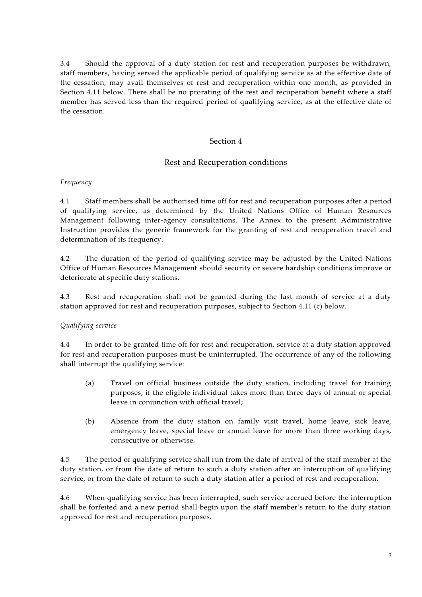3.4 Should the approval of a duty station for rest and recuperation purposes be withdrawn, staff members, having served the applicable period of qualifying service as at the effective date of the cessation, may avail themselves of rest and recuperation within one month, as provided in Section 4.11 below. There shall be no prorating of the rest and recuperation benefit where a staff member has served less than the required period of qualifying service, as at the effective date of the cessation.

# Section 4

# Rest and Recuperation conditions

#### *Frequency*

4.1 Staff members shall be authorised time off for rest and recuperation purposes after a period of qualifying service, as determined by the United Nations Office of Human Resources Management following inter-agency consultations. The Annex to the present Administrative Instruction provides the generic framework for the granting of rest and recuperation travel and determination of its frequency.

4.2 The duration of the period of qualifying service may be adjusted by the United Nations Office of Human Resources Management should security or severe hardship conditions improve or deteriorate at specific duty stations.

4.3 Rest and recuperation shall not be granted during the last month of service at a duty station approved for rest and recuperation purposes, subject to Section 4.11 (c) below.

# *Qualifying service*

4.4 In order to be granted time off for rest and recuperation, service at a duty station approved for rest and recuperation purposes must be uninterrupted. The occurrence of any of the following shall interrupt the qualifying service:

- (a) Travel on official business outside the duty station, including travel for training purposes, if the eligible individual takes more than three days of annual or special leave in conjunction with official travel;
- (b) Absence from the duty station on family visit travel, home leave, sick leave, emergency leave, special leave or annual leave for more than three working days, consecutive or otherwise.

4.5 The period of qualifying service shall run from the date of arrival of the staff member at the duty station, or from the date of return to such a duty station after an interruption of qualifying service, or from the date of return to such a duty station after a period of rest and recuperation.

4.6 When qualifying service has been interrupted, such service accrued before the interruption shall be forfeited and a new period shall begin upon the staff member's return to the duty station approved for rest and recuperation purposes.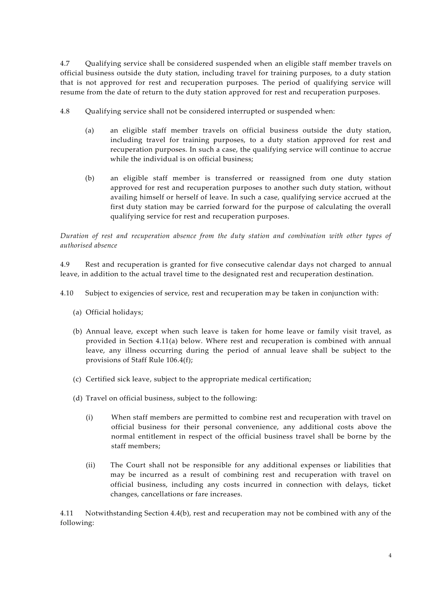4.7 Qualifying service shall be considered suspended when an eligible staff member travels on official business outside the duty station, including travel for training purposes, to a duty station that is not approved for rest and recuperation purposes. The period of qualifying service will resume from the date of return to the duty station approved for rest and recuperation purposes.

- 4.8 Qualifying service shall not be considered interrupted or suspended when:
	- (a) an eligible staff member travels on official business outside the duty station, including travel for training purposes, to a duty station approved for rest and recuperation purposes. In such a case, the qualifying service will continue to accrue while the individual is on official business;
	- (b) an eligible staff member is transferred or reassigned from one duty station approved for rest and recuperation purposes to another such duty station, without availing himself or herself of leave. In such a case, qualifying service accrued at the first duty station may be carried forward for the purpose of calculating the overall qualifying service for rest and recuperation purposes.

*Duration of rest and recuperation absence from the duty station and combination with other types of authorised absence*

4.9 Rest and recuperation is granted for five consecutive calendar days not charged to annual leave, in addition to the actual travel time to the designated rest and recuperation destination.

- 4.10 Subject to exigencies of service, rest and recuperation may be taken in conjunction with:
	- (a) Official holidays;
	- (b) Annual leave, except when such leave is taken for home leave or family visit travel, as provided in Section 4.11(a) below. Where rest and recuperation is combined with annual leave, any illness occurring during the period of annual leave shall be subject to the provisions of Staff Rule 106.4(f);
	- (c) Certified sick leave, subject to the appropriate medical certification;
	- (d) Travel on official business, subject to the following:
		- (i) When staff members are permitted to combine rest and recuperation with travel on official business for their personal convenience, any additional costs above the normal entitlement in respect of the official business travel shall be borne by the staff members;
		- (ii) The Court shall not be responsible for any additional expenses or liabilities that may be incurred as a result of combining rest and recuperation with travel on official business, including any costs incurred in connection with delays, ticket changes, cancellations or fare increases.

4.11 Notwithstanding Section 4.4(b), rest and recuperation may not be combined with any of the following: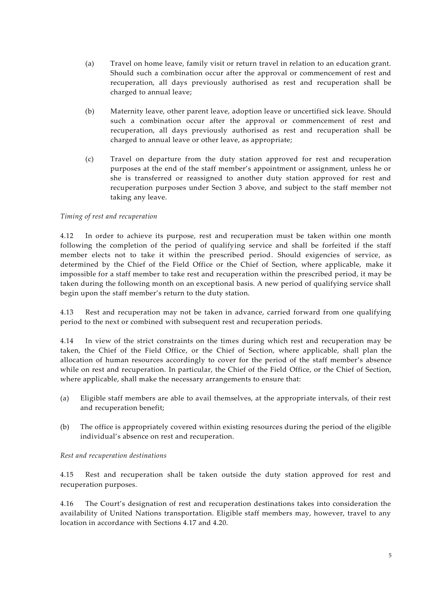- (a) Travel on home leave, family visit or return travel in relation to an education grant. Should such a combination occur after the approval or commencement of rest and recuperation, all days previously authorised as rest and recuperation shall be charged to annual leave;
- (b) Maternity leave, other parent leave, adoption leave or uncertified sick leave. Should such a combination occur after the approval or commencement of rest and recuperation, all days previously authorised as rest and recuperation shall be charged to annual leave or other leave, as appropriate;
- (c) Travel on departure from the duty station approved for rest and recuperation purposes at the end of the staff member's appointment or assignment, unless he or she is transferred or reassigned to another duty station approved for rest and recuperation purposes under Section 3 above, and subject to the staff member not taking any leave.

#### *Timing of rest and recuperation*

4.12 In order to achieve its purpose, rest and recuperation must be taken within one month following the completion of the period of qualifying service and shall be forfeited if the staff member elects not to take it within the prescribed period. Should exigencies of service, as determined by the Chief of the Field Office or the Chief of Section, where applicable, make it impossible for a staff member to take rest and recuperation within the prescribed period, it may be taken during the following month on an exceptional basis. A new period of qualifying service shall begin upon the staff member's return to the duty station.

4.13 Rest and recuperation may not be taken in advance, carried forward from one qualifying period to the next or combined with subsequent rest and recuperation periods.

4.14 In view of the strict constraints on the times during which rest and recuperation may be taken, the Chief of the Field Office, or the Chief of Section, where applicable, shall plan the allocation of human resources accordingly to cover for the period of the staff member's absence while on rest and recuperation. In particular, the Chief of the Field Office, or the Chief of Section, where applicable, shall make the necessary arrangements to ensure that:

- (a) Eligible staff members are able to avail themselves, at the appropriate intervals, of their rest and recuperation benefit;
- (b) The office is appropriately covered within existing resources during the period of the eligible individual's absence on rest and recuperation.

#### *Rest and recuperation destinations*

4.15 Rest and recuperation shall be taken outside the duty station approved for rest and recuperation purposes.

4.16 The Court's designation of rest and recuperation destinations takes into consideration the availability of United Nations transportation. Eligible staff members may, however, travel to any location in accordance with Sections 4.17 and 4.20.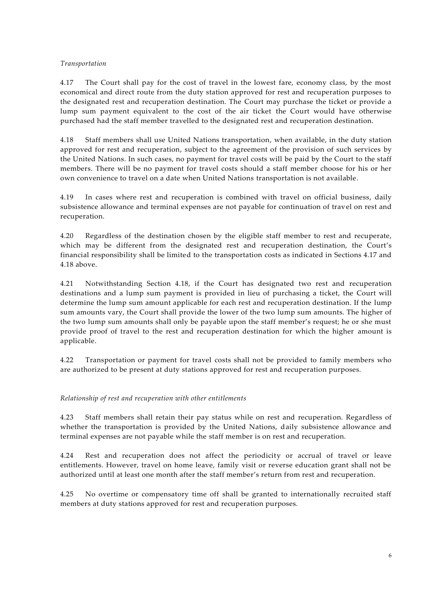### *Transportation*

4.17 The Court shall pay for the cost of travel in the lowest fare, economy class, by the most economical and direct route from the duty station approved for rest and recuperation purposes to the designated rest and recuperation destination. The Court may purchase the ticket or provide a lump sum payment equivalent to the cost of the air ticket the Court would have otherwise purchased had the staff member travelled to the designated rest and recuperation destination.

4.18 Staff members shall use United Nations transportation, when available, in the duty station approved for rest and recuperation, subject to the agreement of the provision of such services by the United Nations. In such cases, no payment for travel costs will be paid by the Court to the staff members. There will be no payment for travel costs should a staff member choose for his or her own convenience to travel on a date when United Nations transportation is not available.

4.19 In cases where rest and recuperation is combined with travel on official business, daily subsistence allowance and terminal expenses are not payable for continuation of travel on rest and recuperation.

4.20 Regardless of the destination chosen by the eligible staff member to rest and recuperate, which may be different from the designated rest and recuperation destination, the Court's financial responsibility shall be limited to the transportation costs as indicated in Sections 4.17 and 4.18 above.

4.21 Notwithstanding Section 4.18, if the Court has designated two rest and recuperation destinations and a lump sum payment is provided in lieu of purchasing a ticket, the Court will determine the lump sum amount applicable for each rest and recuperation destination. If the lump sum amounts vary, the Court shall provide the lower of the two lump sum amounts. The higher of the two lump sum amounts shall only be payable upon the staff member's request; he or she must provide proof of travel to the rest and recuperation destination for which the higher amount is applicable.

4.22 Transportation or payment for travel costs shall not be provided to family members who are authorized to be present at duty stations approved for rest and recuperation purposes.

*Relationship of rest and recuperation with other entitlements*

4.23 Staff members shall retain their pay status while on rest and recuperation. Regardless of whether the transportation is provided by the United Nations, daily subsistence allowance and terminal expenses are not payable while the staff member is on rest and recuperation.

4.24 Rest and recuperation does not affect the periodicity or accrual of travel or leave entitlements. However, travel on home leave, family visit or reverse education grant shall not be authorized until at least one month after the staff member's return from rest and recuperation.

4.25 No overtime or compensatory time off shall be granted to internationally recruited staff members at duty stations approved for rest and recuperation purposes.